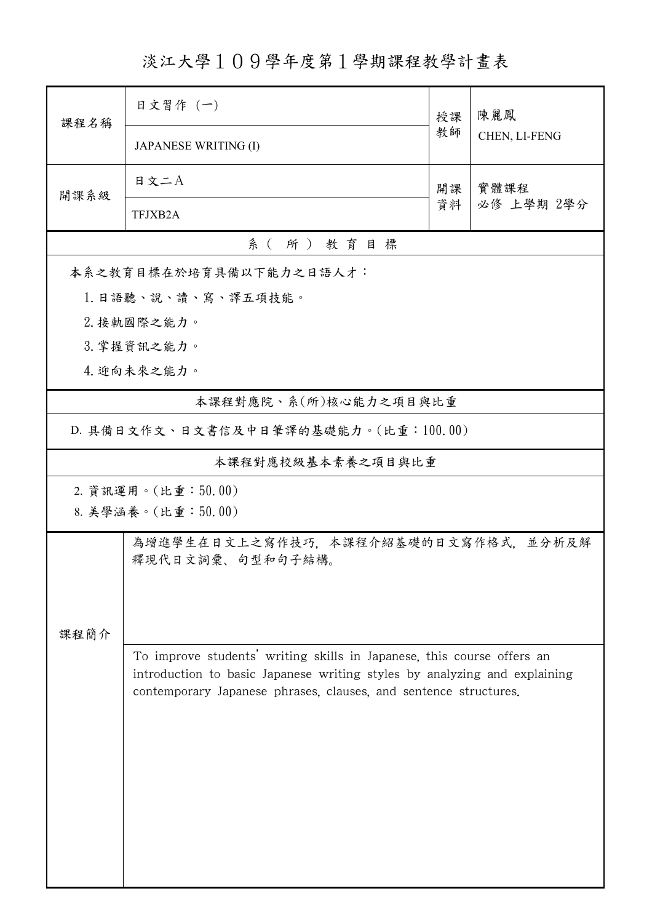淡江大學109學年度第1學期課程教學計畫表

| 課程名稱                                                                      | 日文習作 (一)                                                               | 授課 | 陳麗鳳<br>CHEN, LI-FENG |  |  |  |  |
|---------------------------------------------------------------------------|------------------------------------------------------------------------|----|----------------------|--|--|--|--|
|                                                                           | <b>JAPANESE WRITING (I)</b>                                            | 教師 |                      |  |  |  |  |
| 開課系級                                                                      | 日文二A                                                                   | 開課 | 實體課程                 |  |  |  |  |
|                                                                           | TFJXB2A                                                                | 資料 | 必修 上學期 2學分           |  |  |  |  |
| 系(所)教育目標                                                                  |                                                                        |    |                      |  |  |  |  |
|                                                                           | 本系之教育目標在於培育具備以下能力之日語人才:                                                |    |                      |  |  |  |  |
|                                                                           | 1.日語聽、說、讀、寫、譯五項技能。                                                     |    |                      |  |  |  |  |
|                                                                           | 2. 接軌國際之能力。                                                            |    |                      |  |  |  |  |
|                                                                           | 3. 掌握資訊之能力。                                                            |    |                      |  |  |  |  |
|                                                                           | 4. 迎向未來之能力。                                                            |    |                      |  |  |  |  |
|                                                                           | 本課程對應院、系(所)核心能力之項目與比重                                                  |    |                      |  |  |  |  |
| D. 具備日文作文、日文書信及中日筆譯的基礎能力。(比重:100.00)                                      |                                                                        |    |                      |  |  |  |  |
| 本課程對應校級基本素養之項目與比重                                                         |                                                                        |    |                      |  |  |  |  |
| 2. 資訊運用。(比重:50.00)                                                        |                                                                        |    |                      |  |  |  |  |
|                                                                           | 8. 美學涵養。(比重:50.00)                                                     |    |                      |  |  |  |  |
|                                                                           | 為增進學生在日文上之寫作技巧,本課程介紹基礎的日文寫作格式,並分析及解<br>釋現代日文詞彙、句型和句子結構。                |    |                      |  |  |  |  |
|                                                                           |                                                                        |    |                      |  |  |  |  |
|                                                                           |                                                                        |    |                      |  |  |  |  |
| 課程簡介                                                                      |                                                                        |    |                      |  |  |  |  |
|                                                                           | To improve students' writing skills in Japanese, this course offers an |    |                      |  |  |  |  |
| introduction to basic Japanese writing styles by analyzing and explaining |                                                                        |    |                      |  |  |  |  |
|                                                                           | contemporary Japanese phrases, clauses, and sentence structures.       |    |                      |  |  |  |  |
|                                                                           |                                                                        |    |                      |  |  |  |  |
|                                                                           |                                                                        |    |                      |  |  |  |  |
|                                                                           |                                                                        |    |                      |  |  |  |  |
|                                                                           |                                                                        |    |                      |  |  |  |  |
|                                                                           |                                                                        |    |                      |  |  |  |  |
|                                                                           |                                                                        |    |                      |  |  |  |  |
|                                                                           |                                                                        |    |                      |  |  |  |  |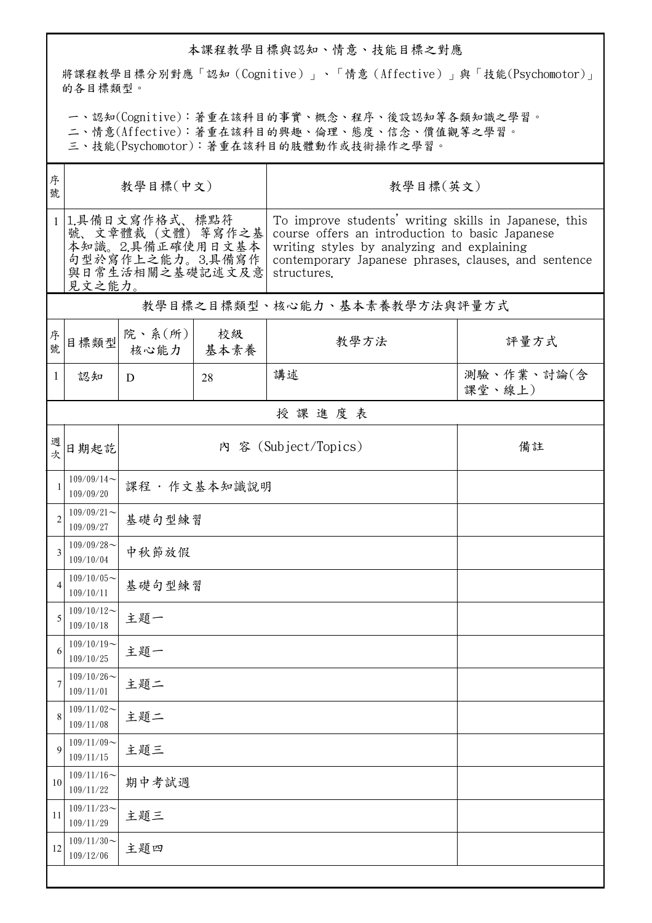## 本課程教學目標與認知、情意、技能目標之對應

將課程教學目標分別對應「認知(Cognitive)」、「情意(Affective)」與「技能(Psychomotor)」 的各目標類型。

一、認知(Cognitive):著重在該科目的事實、概念、程序、後設認知等各類知識之學習。

二、情意(Affective):著重在該科目的興趣、倫理、態度、信念、價值觀等之學習。

三、技能(Psychomotor):著重在該科目的肢體動作或技術操作之學習。

| 序<br>號         | 教學目標(中文)                                                                                                   |                            |            | 教學目標(英文)                                                                                                                                                                                                                      |                      |  |  |  |  |
|----------------|------------------------------------------------------------------------------------------------------------|----------------------------|------------|-------------------------------------------------------------------------------------------------------------------------------------------------------------------------------------------------------------------------------|----------------------|--|--|--|--|
|                | 1 1.具備日文寫作格式、標點符<br>號、文章體裁 (文體) 等寫作之基<br>本知識。2.具備正確使用日文基本<br>句型於寫作上之能力。3.具備寫作<br>與日常生活相關之基礎記述文及意<br>見文之能力。 |                            |            | To improve students' writing skills in Japanese, this<br>course offers an introduction to basic Japanese<br>writing styles by analyzing and explaining<br>contemporary Japanese phrases, clauses, and sentence<br>structures. |                      |  |  |  |  |
|                | 教學目標之目標類型、核心能力、基本素養教學方法與評量方式                                                                               |                            |            |                                                                                                                                                                                                                               |                      |  |  |  |  |
| 序號             | 目標類型                                                                                                       | 院、系 $(\text{ff})$<br>核心能力  | 校級<br>基本素養 | 教學方法                                                                                                                                                                                                                          | 評量方式                 |  |  |  |  |
| 1              | 認知                                                                                                         | D                          | 28         | 講述                                                                                                                                                                                                                            | 測驗、作業、討論(含<br>課堂、線上) |  |  |  |  |
|                | 授課進度表                                                                                                      |                            |            |                                                                                                                                                                                                                               |                      |  |  |  |  |
| 週次             | 日期起訖                                                                                                       | 內 容 (Subject/Topics)<br>備註 |            |                                                                                                                                                                                                                               |                      |  |  |  |  |
| 1              | $109/09/14$ ~<br>109/09/20                                                                                 | 課程·作文基本知識說明                |            |                                                                                                                                                                                                                               |                      |  |  |  |  |
| $\overline{c}$ | $109/09/21$ ~<br>109/09/27                                                                                 | 基礎句型練習                     |            |                                                                                                                                                                                                                               |                      |  |  |  |  |
| 3              | $109/09/28$ ~<br>109/10/04                                                                                 | 中秋節放假                      |            |                                                                                                                                                                                                                               |                      |  |  |  |  |
| 4              | $109/10/05$ ~<br>109/10/11                                                                                 | 基礎句型練習                     |            |                                                                                                                                                                                                                               |                      |  |  |  |  |
| 5              | $109/10/12$ ~<br>109/10/18                                                                                 | 主題一                        |            |                                                                                                                                                                                                                               |                      |  |  |  |  |
| 6              | $109/10/19$ ~<br>109/10/25                                                                                 | 主題一                        |            |                                                                                                                                                                                                                               |                      |  |  |  |  |
| 7              | $109/10/26$ ~<br>109/11/01                                                                                 | 主題二                        |            |                                                                                                                                                                                                                               |                      |  |  |  |  |
| 8              | $109/11/02$ ~<br>109/11/08                                                                                 | 主題二                        |            |                                                                                                                                                                                                                               |                      |  |  |  |  |
| 9              | $109/11/09$ ~<br>109/11/15                                                                                 | 主題三                        |            |                                                                                                                                                                                                                               |                      |  |  |  |  |
| 10             | $109/11/16$ ~<br>109/11/22                                                                                 | 期中考試週                      |            |                                                                                                                                                                                                                               |                      |  |  |  |  |
| 11             | $109/11/23$ ~<br>109/11/29                                                                                 | 主題三                        |            |                                                                                                                                                                                                                               |                      |  |  |  |  |
| 12             | $109/11/30$ ~<br>109/12/06                                                                                 | 主題四                        |            |                                                                                                                                                                                                                               |                      |  |  |  |  |
|                |                                                                                                            |                            |            |                                                                                                                                                                                                                               |                      |  |  |  |  |